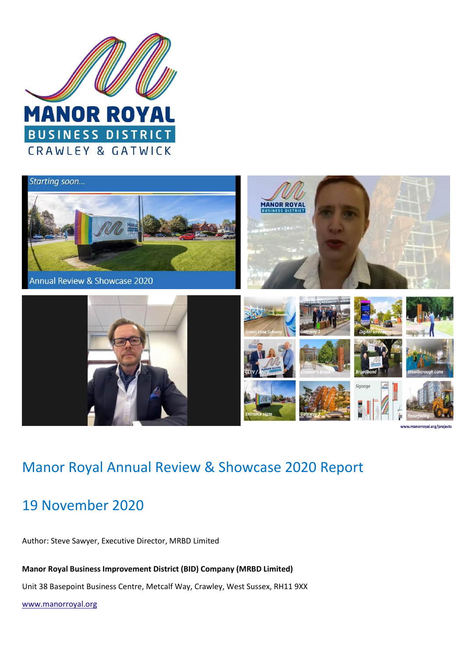



## Manor Royal Annual Review & Showcase 2020 Report

# 19 November 2020

Author: Steve Sawyer, Executive Director, MRBD Limited

**Manor Royal Business Improvement District (BID) Company (MRBD Limited)**

Unit 38 Basepoint Business Centre, Metcalf Way, Crawley, West Sussex, RH11 9XX

[www.manorroyal.org](http://www.manorroyal.org/)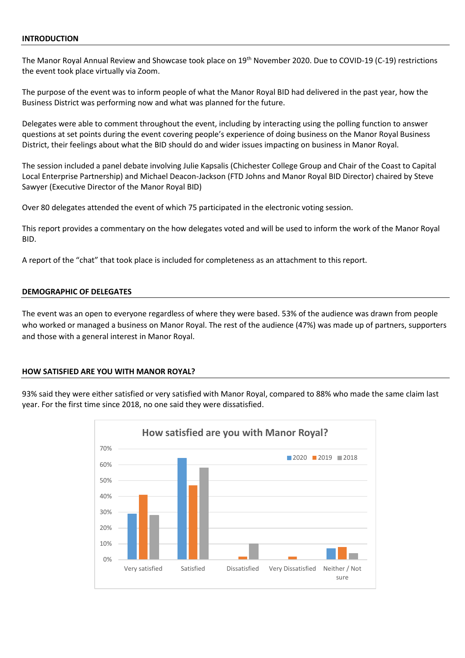#### **INTRODUCTION**

The Manor Royal Annual Review and Showcase took place on 19<sup>th</sup> November 2020. Due to COVID-19 (C-19) restrictions the event took place virtually via Zoom.

The purpose of the event was to inform people of what the Manor Royal BID had delivered in the past year, how the Business District was performing now and what was planned for the future.

Delegates were able to comment throughout the event, including by interacting using the polling function to answer questions at set points during the event covering people's experience of doing business on the Manor Royal Business District, their feelings about what the BID should do and wider issues impacting on business in Manor Royal.

The session included a panel debate involving Julie Kapsalis (Chichester College Group and Chair of the Coast to Capital Local Enterprise Partnership) and Michael Deacon-Jackson (FTD Johns and Manor Royal BID Director) chaired by Steve Sawyer (Executive Director of the Manor Royal BID)

Over 80 delegates attended the event of which 75 participated in the electronic voting session.

This report provides a commentary on the how delegates voted and will be used to inform the work of the Manor Royal BID.

A report of the "chat" that took place is included for completeness as an attachment to this report.

#### **DEMOGRAPHIC OF DELEGATES**

The event was an open to everyone regardless of where they were based. 53% of the audience was drawn from people who worked or managed a business on Manor Royal. The rest of the audience (47%) was made up of partners, supporters and those with a general interest in Manor Royal.

#### **HOW SATISFIED ARE YOU WITH MANOR ROYAL?**

93% said they were either satisfied or very satisfied with Manor Royal, compared to 88% who made the same claim last year. For the first time since 2018, no one said they were dissatisfied.

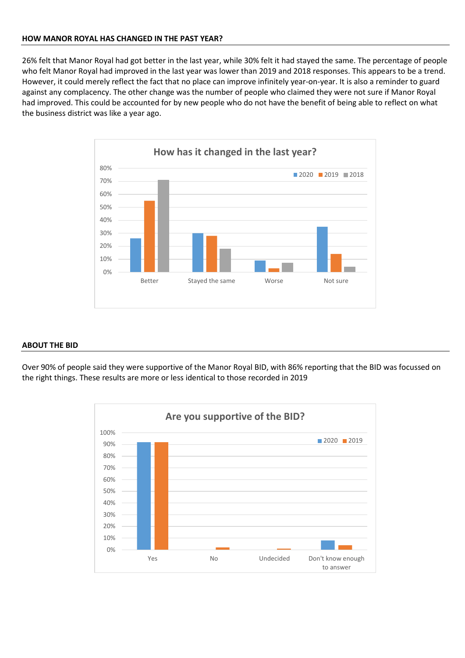#### **HOW MANOR ROYAL HAS CHANGED IN THE PAST YEAR?**

26% felt that Manor Royal had got better in the last year, while 30% felt it had stayed the same. The percentage of people who felt Manor Royal had improved in the last year was lower than 2019 and 2018 responses. This appears to be a trend. However, it could merely reflect the fact that no place can improve infinitely year-on-year. It is also a reminder to guard against any complacency. The other change was the number of people who claimed they were not sure if Manor Royal had improved. This could be accounted for by new people who do not have the benefit of being able to reflect on what the business district was like a year ago.



#### **ABOUT THE BID**

Over 90% of people said they were supportive of the Manor Royal BID, with 86% reporting that the BID was focussed on the right things. These results are more or less identical to those recorded in 2019

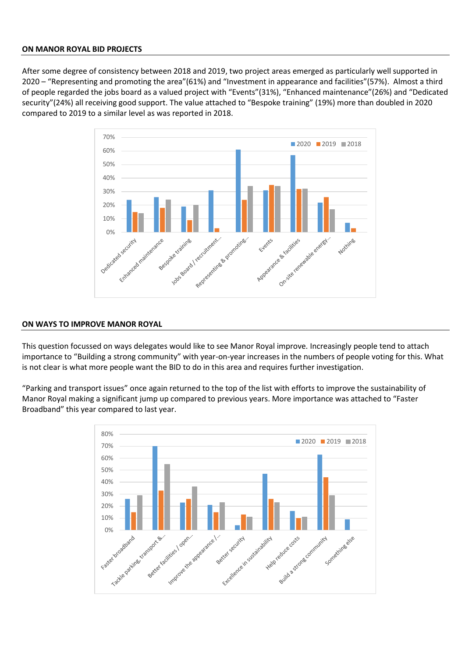#### **ON MANOR ROYAL BID PROJECTS**

After some degree of consistency between 2018 and 2019, two project areas emerged as particularly well supported in 2020 – "Representing and promoting the area"(61%) and "Investment in appearance and facilities"(57%). Almost a third of people regarded the jobs board as a valued project with "Events"(31%), "Enhanced maintenance"(26%) and "Dedicated security"(24%) all receiving good support. The value attached to "Bespoke training" (19%) more than doubled in 2020 compared to 2019 to a similar level as was reported in 2018.



#### **ON WAYS TO IMPROVE MANOR ROYAL**

This question focussed on ways delegates would like to see Manor Royal improve. Increasingly people tend to attach importance to "Building a strong community" with year-on-year increases in the numbers of people voting for this. What is not clear is what more people want the BID to do in this area and requires further investigation.

"Parking and transport issues" once again returned to the top of the list with efforts to improve the sustainability of Manor Royal making a significant jump up compared to previous years. More importance was attached to "Faster Broadband" this year compared to last year.

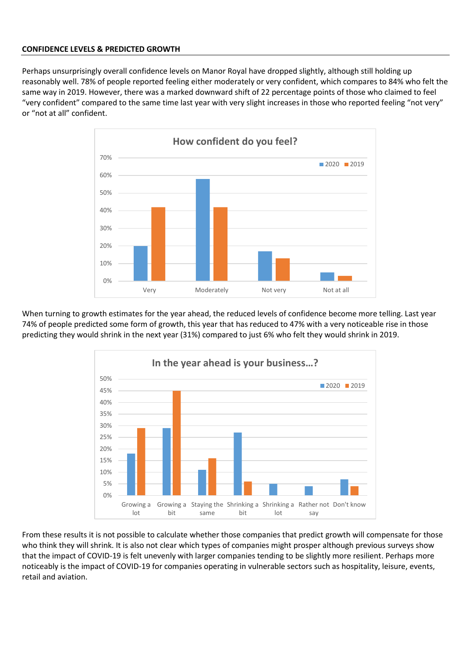#### **CONFIDENCE LEVELS & PREDICTED GROWTH**

Perhaps unsurprisingly overall confidence levels on Manor Royal have dropped slightly, although still holding up reasonably well. 78% of people reported feeling either moderately or very confident, which compares to 84% who felt the same way in 2019. However, there was a marked downward shift of 22 percentage points of those who claimed to feel "very confident" compared to the same time last year with very slight increases in those who reported feeling "not very" or "not at all" confident.



When turning to growth estimates for the year ahead, the reduced levels of confidence become more telling. Last year 74% of people predicted some form of growth, this year that has reduced to 47% with a very noticeable rise in those predicting they would shrink in the next year (31%) compared to just 6% who felt they would shrink in 2019.



From these results it is not possible to calculate whether those companies that predict growth will compensate for those who think they will shrink. It is also not clear which types of companies might prosper although previous surveys show that the impact of COVID-19 is felt unevenly with larger companies tending to be slightly more resilient. Perhaps more noticeably is the impact of COVID-19 for companies operating in vulnerable sectors such as hospitality, leisure, events, retail and aviation.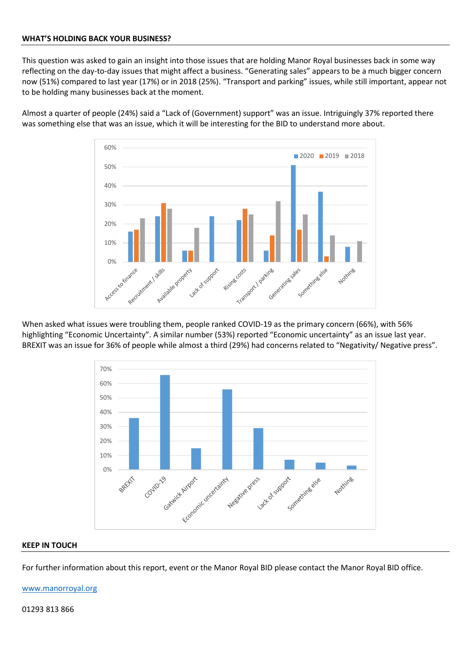#### **WHAT'S HOLDING BACK YOUR BUSINESS?**

This question was asked to gain an insight into those issues that are holding Manor Royal businesses back in some way reflecting on the day-to-day issues that might affect a business. "Generating sales" appears to be a much bigger concern now (51%) compared to last year (17%) or in 2018 (25%). "Transport and parking" issues, while still important, appear not to be holding many businesses back at the moment.

Almost a quarter of people (24%) said a "Lack of (Government) support" was an issue. Intriguingly 37% reported there was something else that was an issue, which it will be interesting for the BID to understand more about.



When asked what issues were troubling them, people ranked COVID-19 as the primary concern (66%), with 56% highlighting "Economic Uncertainty". A similar number (53%) reported "Economic uncertainty" as an issue last year. BREXIT was an issue for 36% of people while almost a third (29%) had concerns related to "Negativity/ Negative press".



#### **KEEP IN TOUCH**

For further information about this report, event or the Manor Royal BID please contact the Manor Royal BID office.

[www.manorroyal.org](http://www.manorroyal.org/)

01293 813 866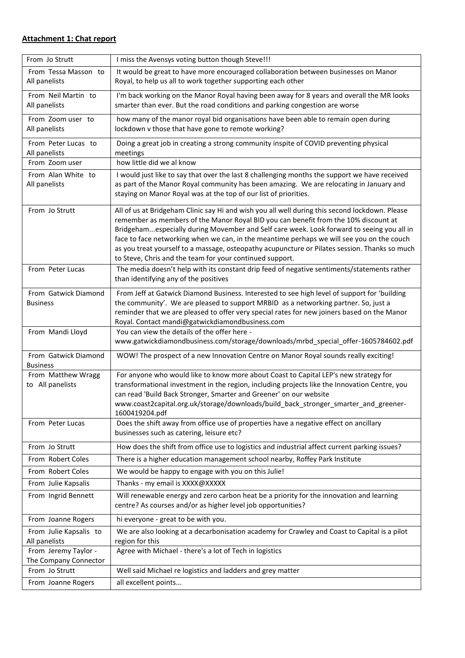### **Attachment 1: Chat report**

| From Jo Strutt                                | I miss the Avensys voting button though Steve!!!                                                                                                                                                                                                                                                                                                                                                                                                                                                                                             |
|-----------------------------------------------|----------------------------------------------------------------------------------------------------------------------------------------------------------------------------------------------------------------------------------------------------------------------------------------------------------------------------------------------------------------------------------------------------------------------------------------------------------------------------------------------------------------------------------------------|
| From Tessa Masson to<br>All panelists         | It would be great to have more encouraged collaboration between businesses on Manor<br>Royal, to help us all to work together supporting each other                                                                                                                                                                                                                                                                                                                                                                                          |
| From Neil Martin to<br>All panelists          | I'm back working on the Manor Royal having been away for 8 years and overall the MR looks<br>smarter than ever. But the road conditions and parking congestion are worse                                                                                                                                                                                                                                                                                                                                                                     |
| From Zoom user to<br>All panelists            | how many of the manor royal bid organisations have been able to remain open during<br>lockdown v those that have gone to remote working?                                                                                                                                                                                                                                                                                                                                                                                                     |
| From Peter Lucas to<br>All panelists          | Doing a great job in creating a strong community inspite of COVID preventing physical<br>meetings                                                                                                                                                                                                                                                                                                                                                                                                                                            |
| From Zoom user                                | how little did we al know                                                                                                                                                                                                                                                                                                                                                                                                                                                                                                                    |
| From Alan White to<br>All panelists           | I would just like to say that over the last 8 challenging months the support we have received<br>as part of the Manor Royal community has been amazing. We are relocating in January and<br>staying on Manor Royal was at the top of our list of priorities.                                                                                                                                                                                                                                                                                 |
| From Jo Strutt                                | All of us at Bridgeham Clinic say Hi and wish you all well during this second lockdown. Please<br>remember as members of the Manor Royal BID you can benefit from the 10% discount at<br>Bridgehamespecially during Movember and Self care week. Look forward to seeing you all in<br>face to face networking when we can, in the meantime perhaps we will see you on the couch<br>as you treat yourself to a massage, osteopathy acupuncture or Pilates session. Thanks so much<br>to Steve, Chris and the team for your continued support. |
| From Peter Lucas                              | The media doesn't help with its constant drip feed of negative sentiments/statements rather<br>than identifying any of the positives                                                                                                                                                                                                                                                                                                                                                                                                         |
| From Gatwick Diamond<br><b>Business</b>       | From Jeff at Gatwick Diamond Business. Interested to see high level of support for 'building<br>the community'. We are pleased to support MRBID as a networking partner. So, just a<br>reminder that we are pleased to offer very special rates for new joiners based on the Manor<br>Royal. Contact mandi@gatwickdiamondbusiness.com                                                                                                                                                                                                        |
| From Mandi Lloyd                              | You can view the details of the offer here -<br>www.gatwickdiamondbusiness.com/storage/downloads/mrbd_special_offer-1605784602.pdf                                                                                                                                                                                                                                                                                                                                                                                                           |
| From Gatwick Diamond<br><b>Business</b>       | WOW! The prospect of a new Innovation Centre on Manor Royal sounds really exciting!                                                                                                                                                                                                                                                                                                                                                                                                                                                          |
| From Matthew Wragg<br>to All panelists        | For anyone who would like to know more about Coast to Capital LEP's new strategy for<br>transformational investment in the region, including projects like the Innovation Centre, you<br>can read 'Build Back Stronger, Smarter and Greener' on our website<br>www.coast2capital.org.uk/storage/downloads/build_back_stronger_smarter_and_greener-<br>1600419204.pdf                                                                                                                                                                         |
| From Peter Lucas                              | Does the shift away from office use of properties have a negative effect on ancillary<br>businesses such as catering, leisure etc?                                                                                                                                                                                                                                                                                                                                                                                                           |
| From Jo Strutt                                | How does the shift from office use to logistics and industrial affect current parking issues?                                                                                                                                                                                                                                                                                                                                                                                                                                                |
| From Robert Coles                             | There is a higher education management school nearby, Roffey Park Institute                                                                                                                                                                                                                                                                                                                                                                                                                                                                  |
| From Robert Coles                             | We would be happy to engage with you on this Julie!                                                                                                                                                                                                                                                                                                                                                                                                                                                                                          |
| From Julie Kapsalis                           | Thanks - my email is XXXX@XXXXX                                                                                                                                                                                                                                                                                                                                                                                                                                                                                                              |
| From Ingrid Bennett                           | Will renewable energy and zero carbon heat be a priority for the innovation and learning<br>centre? As courses and/or as higher level job opportunities?                                                                                                                                                                                                                                                                                                                                                                                     |
| From Joanne Rogers                            | hi everyone - great to be with you.                                                                                                                                                                                                                                                                                                                                                                                                                                                                                                          |
| From Julie Kapsalis to                        | We are also looking at a decarbonisation academy for Crawley and Coast to Capital is a pilot                                                                                                                                                                                                                                                                                                                                                                                                                                                 |
| All panelists                                 | region for this                                                                                                                                                                                                                                                                                                                                                                                                                                                                                                                              |
| From Jeremy Taylor -<br>The Company Connector | Agree with Michael - there's a lot of Tech in logistics                                                                                                                                                                                                                                                                                                                                                                                                                                                                                      |
| From Jo Strutt                                | Well said Michael re logistics and ladders and grey matter                                                                                                                                                                                                                                                                                                                                                                                                                                                                                   |
| From Joanne Rogers                            | all excellent points                                                                                                                                                                                                                                                                                                                                                                                                                                                                                                                         |